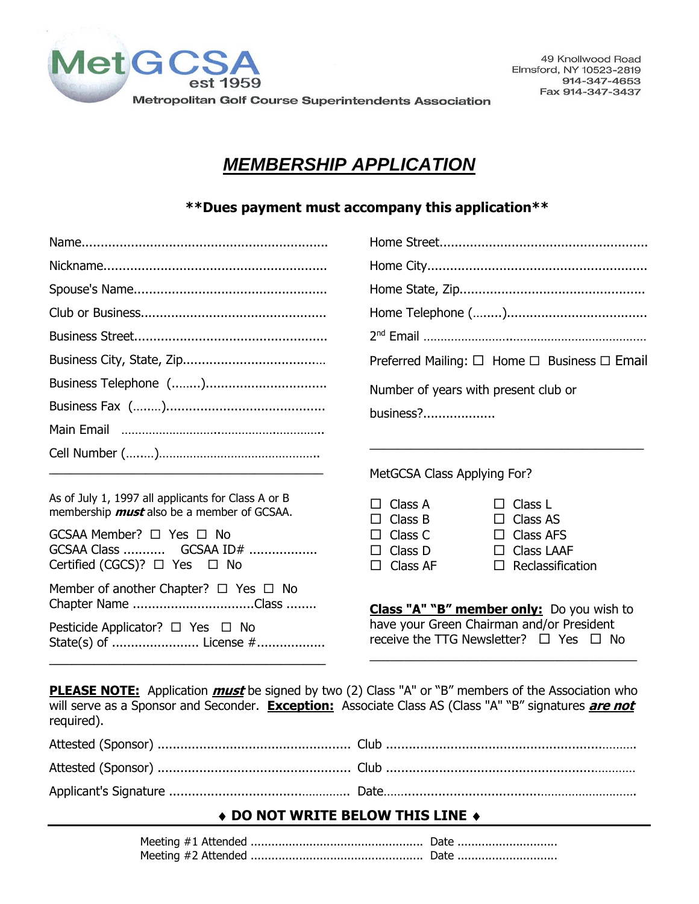

# *MEMBERSHIP APPLICATION*

## **\*\*Dues payment must accompany this application\*\***

As of July 1, 1997 all applicants for Class A or B membership **must** also be a member of GCSAA.

GCSAA Member?  $\Box$  Yes  $\Box$  No GCSAA Class ........... GCSAA ID# .................. Certified (CGCS)?  $\Box$  Yes  $\Box$  No

Member of another Chapter?  $\Box$  Yes  $\Box$  No Chapter Name ................................Class ........

Pesticide Applicator?  $\Box$  Yes  $\Box$  No State(s) of ....................... License #.................. \_\_\_\_\_\_\_\_\_\_\_\_\_\_\_\_\_\_\_\_\_\_\_\_\_\_\_\_\_\_\_\_\_\_\_\_\_

| Preferred Mailing: $\Box$ Home $\Box$ Business $\Box$ Email<br>Number of years with present club or |                                                    |                   |                                                       |  |  |  |           |  |
|-----------------------------------------------------------------------------------------------------|----------------------------------------------------|-------------------|-------------------------------------------------------|--|--|--|-----------|--|
|                                                                                                     |                                                    |                   |                                                       |  |  |  | business? |  |
|                                                                                                     | MetGCSA Class Applying For?                        |                   |                                                       |  |  |  |           |  |
| $\Box$ Class D                                                                                      | $\Box$ Class A<br>$\Box$ Class B<br>$\Box$ Class C | $\Box$ Class LAAF | $\Box$ Class L<br>$\Box$ Class AS<br>$\Box$ Class AFS |  |  |  |           |  |

**Class "A" "B" member only:** Do you wish to have your Green Chairman and/or President receive the TTG Newsletter?  $\Box$  Yes  $\Box$  No

\_\_\_\_\_\_\_\_\_\_\_\_\_\_\_\_\_\_\_\_\_\_\_\_\_\_\_\_\_\_\_\_\_\_\_\_\_\_\_

**PLEASE NOTE:** Application **must** be signed by two (2) Class "A" or "B" members of the Association who will serve as a Sponsor and Seconder. **Exception:** Associate Class AS (Class "A" "B" signatures **are not** required).

### **DO NOT WRITE BELOW THIS LINE**